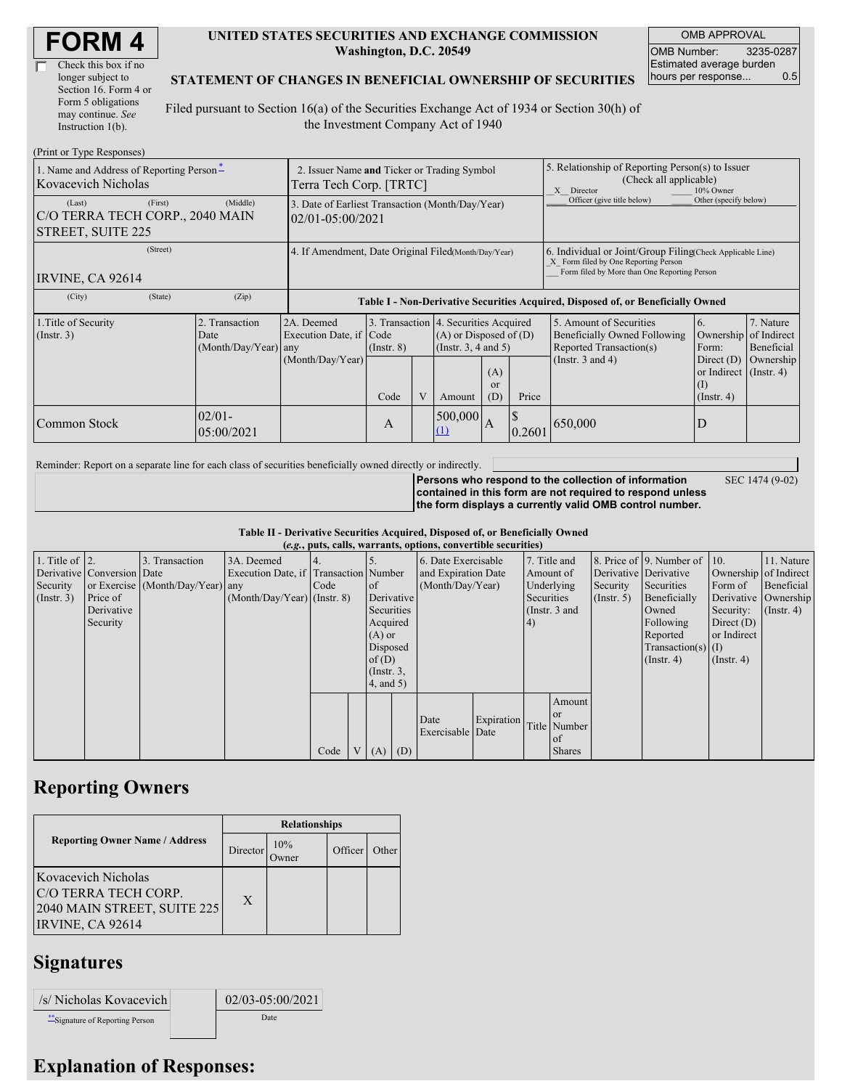| <b>FORM4</b> |  |
|--------------|--|
|--------------|--|

| Check this box if no  |
|-----------------------|
| longer subject to     |
| Section 16. Form 4 or |
| Form 5 obligations    |
| may continue. See     |
| Instruction 1(b).     |

#### **UNITED STATES SECURITIES AND EXCHANGE COMMISSION Washington, D.C. 20549**

OMB APPROVAL OMB Number: 3235-0287 Estimated average burden hours per response... 0.5

SEC 1474 (9-02)

### **STATEMENT OF CHANGES IN BENEFICIAL OWNERSHIP OF SECURITIES**

Filed pursuant to Section 16(a) of the Securities Exchange Act of 1934 or Section 30(h) of the Investment Company Act of 1940

| (Print or Type Responses)                                                        |                                                                                      |                                                      |                                 |  |                                                                                                      |                        |                                                                                                                                                    |                                                                                                             |                                                                                               |                                                     |  |
|----------------------------------------------------------------------------------|--------------------------------------------------------------------------------------|------------------------------------------------------|---------------------------------|--|------------------------------------------------------------------------------------------------------|------------------------|----------------------------------------------------------------------------------------------------------------------------------------------------|-------------------------------------------------------------------------------------------------------------|-----------------------------------------------------------------------------------------------|-----------------------------------------------------|--|
| 1. Name and Address of Reporting Person-<br><b>Kovacevich Nicholas</b>           | 2. Issuer Name and Ticker or Trading Symbol<br>Terra Tech Corp. [TRTC]               |                                                      |                                 |  |                                                                                                      |                        | 5. Relationship of Reporting Person(s) to Issuer<br>(Check all applicable)<br>10% Owner<br>X Director                                              |                                                                                                             |                                                                                               |                                                     |  |
| (First)<br>(Last)<br>C/O TERRA TECH CORP., 2040 MAIN<br><b>STREET, SUITE 225</b> | (Middle)<br>3. Date of Earliest Transaction (Month/Day/Year)<br>$02/01 - 05:00/2021$ |                                                      |                                 |  |                                                                                                      |                        |                                                                                                                                                    | Officer (give title below)                                                                                  | Other (specify below)                                                                         |                                                     |  |
| (Street)<br>IRVINE, CA 92614                                                     | 4. If Amendment, Date Original Filed(Month/Day/Year)                                 |                                                      |                                 |  |                                                                                                      |                        | 6. Individual or Joint/Group Filing Check Applicable Line)<br>X Form filed by One Reporting Person<br>Form filed by More than One Reporting Person |                                                                                                             |                                                                                               |                                                     |  |
| (State)<br>(City)                                                                | (Zip)                                                                                |                                                      |                                 |  |                                                                                                      |                        |                                                                                                                                                    | Table I - Non-Derivative Securities Acquired, Disposed of, or Beneficially Owned                            |                                                                                               |                                                     |  |
| 1. Title of Security<br>$($ Instr. 3 $)$                                         | 2. Transaction<br>Date<br>(Month/Day/Year) any                                       | 2A. Deemed<br>Execution Date, if<br>(Month/Day/Year) | Code<br>$($ Instr. $8)$<br>Code |  | 3. Transaction 4. Securities Acquired<br>$(A)$ or Disposed of $(D)$<br>(Instr. 3, 4 and 5)<br>Amount | (A)<br>$\alpha$<br>(D) | Price                                                                                                                                              | 5. Amount of Securities<br>Beneficially Owned Following<br>Reported Transaction(s)<br>(Instr. $3$ and $4$ ) | 6.<br>Ownership<br>Form:<br>Direct $(D)$<br>or Indirect (Instr. 4)<br>$\rm(I)$<br>(Insert, 4) | 7. Nature<br>of Indirect<br>Beneficial<br>Ownership |  |
| Common Stock                                                                     | $02/01 -$<br>05:00/2021                                                              |                                                      | A                               |  | 500,000<br>(1)                                                                                       | $\overline{A}$         | 0.2601                                                                                                                                             | 650,000                                                                                                     | D                                                                                             |                                                     |  |

Reminder: Report on a separate line for each class of securities beneficially owned directly or indirectly.

**Persons who respond to the collection of information contained in this form are not required to respond unless the form displays a currently valid OMB control number.**

**Table II - Derivative Securities Acquired, Disposed of, or Beneficially Owned**

|                        | (e.g., puts, calls, warrants, options, convertible securities) |                                  |                                       |      |  |                 |            |                     |            |            |                 |               |                              |                  |                       |
|------------------------|----------------------------------------------------------------|----------------------------------|---------------------------------------|------|--|-----------------|------------|---------------------|------------|------------|-----------------|---------------|------------------------------|------------------|-----------------------|
| 1. Title of $\vert$ 2. |                                                                | 3. Transaction                   | 3A. Deemed                            |      |  |                 |            | 6. Date Exercisable |            |            | 7. Title and    |               | 8. Price of 9. Number of 10. |                  | 11. Nature            |
|                        | Derivative Conversion Date                                     |                                  | Execution Date, if Transaction Number |      |  |                 |            | and Expiration Date |            | Amount of  |                 |               | Derivative Derivative        |                  | Ownership of Indirect |
| Security               |                                                                | or Exercise (Month/Day/Year) any |                                       | Code |  | of              |            | (Month/Day/Year)    |            |            | Underlying      | Security      | Securities                   | Form of          | Beneficial            |
| (Insert. 3)            | Price of                                                       |                                  | $(Month/Day/Year)$ (Instr. 8)         |      |  |                 | Derivative |                     |            | Securities |                 | $($ Instr. 5) | Beneficially                 |                  | Derivative Ownership  |
|                        | Derivative                                                     |                                  |                                       |      |  | Securities      |            |                     |            |            | (Instr. $3$ and |               | Owned                        | Security:        | $($ Instr. 4)         |
|                        | Security                                                       |                                  |                                       |      |  | Acquired        |            |                     |            | 4)         |                 |               | Following                    | Direct $(D)$     |                       |
|                        |                                                                |                                  |                                       |      |  | $(A)$ or        |            |                     |            |            |                 |               | Reported                     | or Indirect      |                       |
|                        |                                                                |                                  |                                       |      |  | Disposed        |            |                     |            |            |                 |               | $Transaction(s)$ (I)         |                  |                       |
|                        |                                                                |                                  |                                       |      |  | of(D)           |            |                     |            |            |                 |               | $($ Instr. 4 $)$             | $($ Instr. 4 $)$ |                       |
|                        |                                                                |                                  |                                       |      |  | $($ Instr. $3,$ |            |                     |            |            |                 |               |                              |                  |                       |
|                        |                                                                |                                  |                                       |      |  | $4$ , and $5$ ) |            |                     |            |            |                 |               |                              |                  |                       |
|                        |                                                                |                                  |                                       |      |  |                 |            |                     |            |            | Amount          |               |                              |                  |                       |
|                        |                                                                |                                  |                                       |      |  |                 |            |                     |            |            | <b>or</b>       |               |                              |                  |                       |
|                        |                                                                |                                  |                                       |      |  |                 |            | Date                | Expiration |            | Title Number    |               |                              |                  |                       |
|                        |                                                                |                                  |                                       |      |  |                 |            | Exercisable Date    |            |            | <sub>of</sub>   |               |                              |                  |                       |
|                        |                                                                |                                  |                                       | Code |  | V(A)            | (D)        |                     |            |            | <b>Shares</b>   |               |                              |                  |                       |

### **Reporting Owners**

|                                                                                                       | <b>Relationships</b> |                     |         |       |  |  |  |
|-------------------------------------------------------------------------------------------------------|----------------------|---------------------|---------|-------|--|--|--|
| <b>Reporting Owner Name / Address</b>                                                                 | Director             | 10%<br><b>Twner</b> | Officer | Other |  |  |  |
| <b>Kovacevich Nicholas</b><br>C/O TERRA TECH CORP.<br>2040 MAIN STREET, SUITE 225<br>IRVINE, CA 92614 | X                    |                     |         |       |  |  |  |

## **Signatures**

| /s/ Nicholas Kovacevich         | 02/03-05:00/2021 |
|---------------------------------|------------------|
| **Signature of Reporting Person | Date             |

# **Explanation of Responses:**